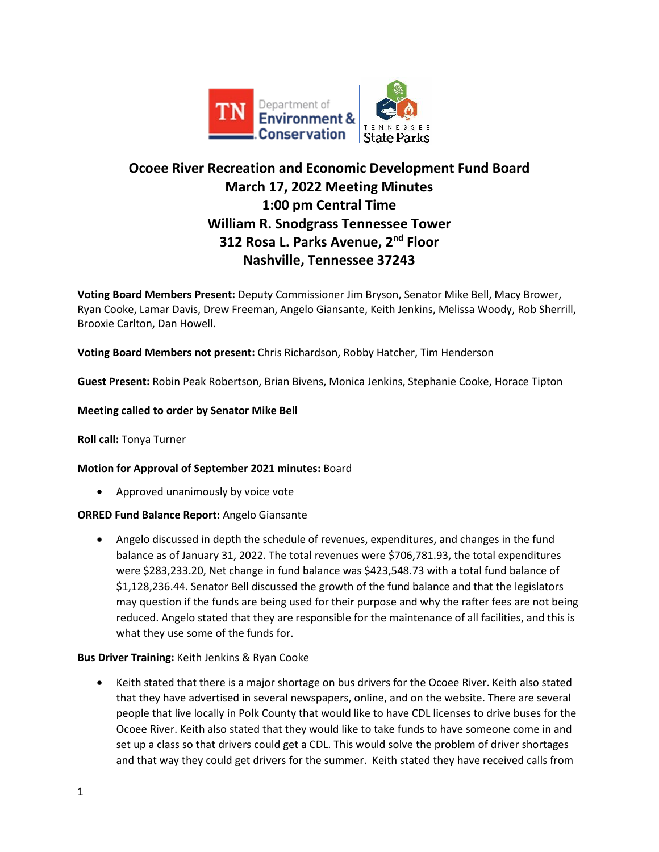



# **Ocoee River Recreation and Economic Development Fund Board March 17, 2022 Meeting Minutes 1:00 pm Central Time William R. Snodgrass Tennessee Tower 312 Rosa L. Parks Avenue, 2nd Floor Nashville, Tennessee 37243**

**Voting Board Members Present:** Deputy Commissioner Jim Bryson, Senator Mike Bell, Macy Brower, Ryan Cooke, Lamar Davis, Drew Freeman, Angelo Giansante, Keith Jenkins, Melissa Woody, Rob Sherrill, Brooxie Carlton, Dan Howell.

**Voting Board Members not present:** Chris Richardson, Robby Hatcher, Tim Henderson

**Guest Present:** Robin Peak Robertson, Brian Bivens, Monica Jenkins, Stephanie Cooke, Horace Tipton

# **Meeting called to order by Senator Mike Bell**

**Roll call:** Tonya Turner

# **Motion for Approval of September 2021 minutes:** Board

• Approved unanimously by voice vote

# **ORRED Fund Balance Report:** Angelo Giansante

• Angelo discussed in depth the schedule of revenues, expenditures, and changes in the fund balance as of January 31, 2022. The total revenues were \$706,781.93, the total expenditures were \$283,233.20, Net change in fund balance was \$423,548.73 with a total fund balance of \$1,128,236.44. Senator Bell discussed the growth of the fund balance and that the legislators may question if the funds are being used for their purpose and why the rafter fees are not being reduced. Angelo stated that they are responsible for the maintenance of all facilities, and this is what they use some of the funds for.

# **Bus Driver Training:** Keith Jenkins & Ryan Cooke

• Keith stated that there is a major shortage on bus drivers for the Ocoee River. Keith also stated that they have advertised in several newspapers, online, and on the website. There are several people that live locally in Polk County that would like to have CDL licenses to drive buses for the Ocoee River. Keith also stated that they would like to take funds to have someone come in and set up a class so that drivers could get a CDL. This would solve the problem of driver shortages and that way they could get drivers for the summer. Keith stated they have received calls from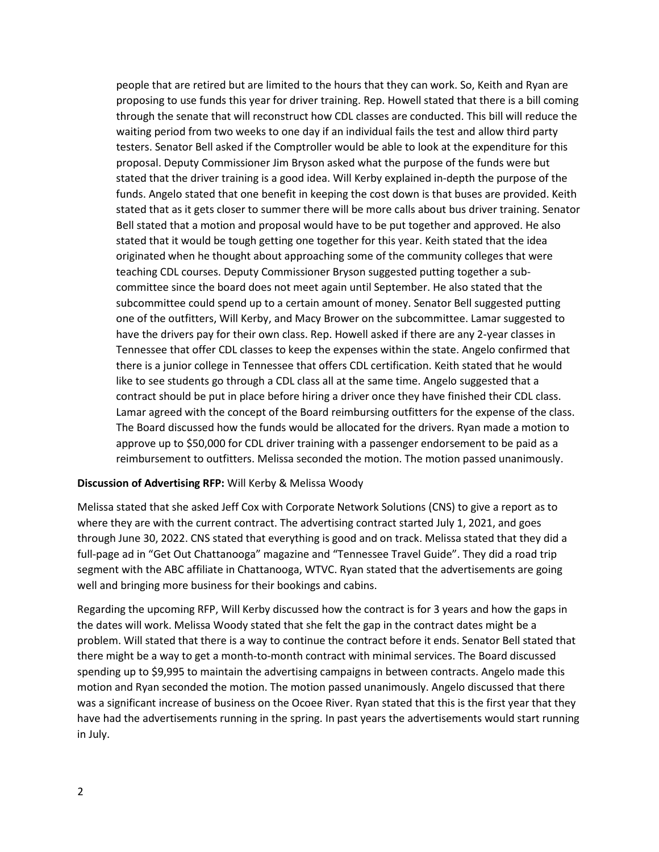people that are retired but are limited to the hours that they can work. So, Keith and Ryan are proposing to use funds this year for driver training. Rep. Howell stated that there is a bill coming through the senate that will reconstruct how CDL classes are conducted. This bill will reduce the waiting period from two weeks to one day if an individual fails the test and allow third party testers. Senator Bell asked if the Comptroller would be able to look at the expenditure for this proposal. Deputy Commissioner Jim Bryson asked what the purpose of the funds were but stated that the driver training is a good idea. Will Kerby explained in-depth the purpose of the funds. Angelo stated that one benefit in keeping the cost down is that buses are provided. Keith stated that as it gets closer to summer there will be more calls about bus driver training. Senator Bell stated that a motion and proposal would have to be put together and approved. He also stated that it would be tough getting one together for this year. Keith stated that the idea originated when he thought about approaching some of the community colleges that were teaching CDL courses. Deputy Commissioner Bryson suggested putting together a subcommittee since the board does not meet again until September. He also stated that the subcommittee could spend up to a certain amount of money. Senator Bell suggested putting one of the outfitters, Will Kerby, and Macy Brower on the subcommittee. Lamar suggested to have the drivers pay for their own class. Rep. Howell asked if there are any 2-year classes in Tennessee that offer CDL classes to keep the expenses within the state. Angelo confirmed that there is a junior college in Tennessee that offers CDL certification. Keith stated that he would like to see students go through a CDL class all at the same time. Angelo suggested that a contract should be put in place before hiring a driver once they have finished their CDL class. Lamar agreed with the concept of the Board reimbursing outfitters for the expense of the class. The Board discussed how the funds would be allocated for the drivers. Ryan made a motion to approve up to \$50,000 for CDL driver training with a passenger endorsement to be paid as a reimbursement to outfitters. Melissa seconded the motion. The motion passed unanimously.

#### **Discussion of Advertising RFP:** Will Kerby & Melissa Woody

Melissa stated that she asked Jeff Cox with Corporate Network Solutions (CNS) to give a report as to where they are with the current contract. The advertising contract started July 1, 2021, and goes through June 30, 2022. CNS stated that everything is good and on track. Melissa stated that they did a full-page ad in "Get Out Chattanooga" magazine and "Tennessee Travel Guide". They did a road trip segment with the ABC affiliate in Chattanooga, WTVC. Ryan stated that the advertisements are going well and bringing more business for their bookings and cabins.

Regarding the upcoming RFP, Will Kerby discussed how the contract is for 3 years and how the gaps in the dates will work. Melissa Woody stated that she felt the gap in the contract dates might be a problem. Will stated that there is a way to continue the contract before it ends. Senator Bell stated that there might be a way to get a month-to-month contract with minimal services. The Board discussed spending up to \$9,995 to maintain the advertising campaigns in between contracts. Angelo made this motion and Ryan seconded the motion. The motion passed unanimously. Angelo discussed that there was a significant increase of business on the Ocoee River. Ryan stated that this is the first year that they have had the advertisements running in the spring. In past years the advertisements would start running in July.